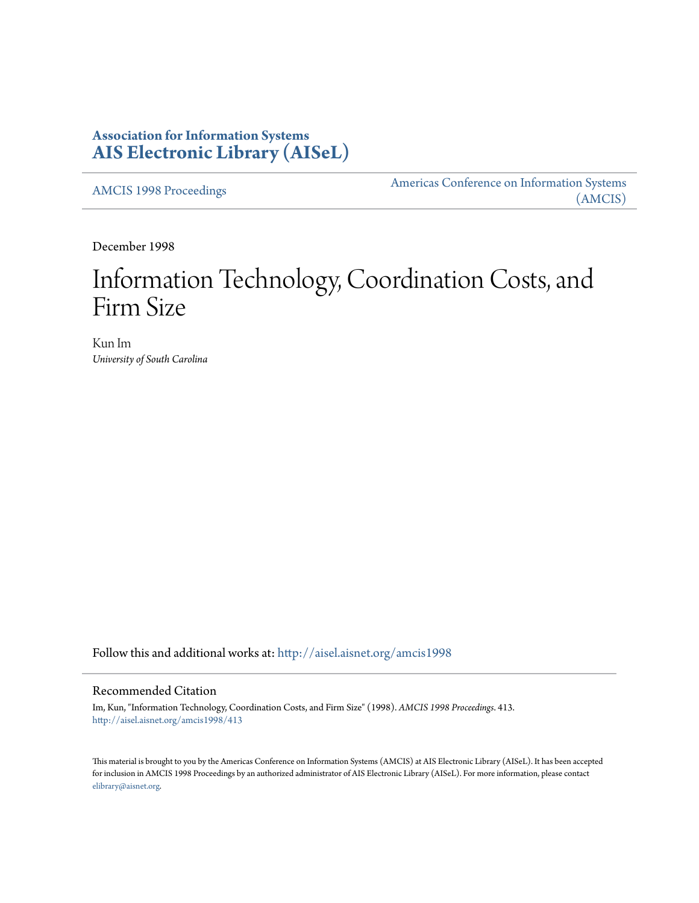# **Association for Information Systems [AIS Electronic Library \(AISeL\)](http://aisel.aisnet.org?utm_source=aisel.aisnet.org%2Famcis1998%2F413&utm_medium=PDF&utm_campaign=PDFCoverPages)**

[AMCIS 1998 Proceedings](http://aisel.aisnet.org/amcis1998?utm_source=aisel.aisnet.org%2Famcis1998%2F413&utm_medium=PDF&utm_campaign=PDFCoverPages)

[Americas Conference on Information Systems](http://aisel.aisnet.org/amcis?utm_source=aisel.aisnet.org%2Famcis1998%2F413&utm_medium=PDF&utm_campaign=PDFCoverPages) [\(AMCIS\)](http://aisel.aisnet.org/amcis?utm_source=aisel.aisnet.org%2Famcis1998%2F413&utm_medium=PDF&utm_campaign=PDFCoverPages)

December 1998

# Information Technology, Coordination Costs, and Firm Size

Kun Im *University of South Carolina*

Follow this and additional works at: [http://aisel.aisnet.org/amcis1998](http://aisel.aisnet.org/amcis1998?utm_source=aisel.aisnet.org%2Famcis1998%2F413&utm_medium=PDF&utm_campaign=PDFCoverPages)

# Recommended Citation

Im, Kun, "Information Technology, Coordination Costs, and Firm Size" (1998). *AMCIS 1998 Proceedings*. 413. [http://aisel.aisnet.org/amcis1998/413](http://aisel.aisnet.org/amcis1998/413?utm_source=aisel.aisnet.org%2Famcis1998%2F413&utm_medium=PDF&utm_campaign=PDFCoverPages)

This material is brought to you by the Americas Conference on Information Systems (AMCIS) at AIS Electronic Library (AISeL). It has been accepted for inclusion in AMCIS 1998 Proceedings by an authorized administrator of AIS Electronic Library (AISeL). For more information, please contact [elibrary@aisnet.org.](mailto:elibrary@aisnet.org%3E)